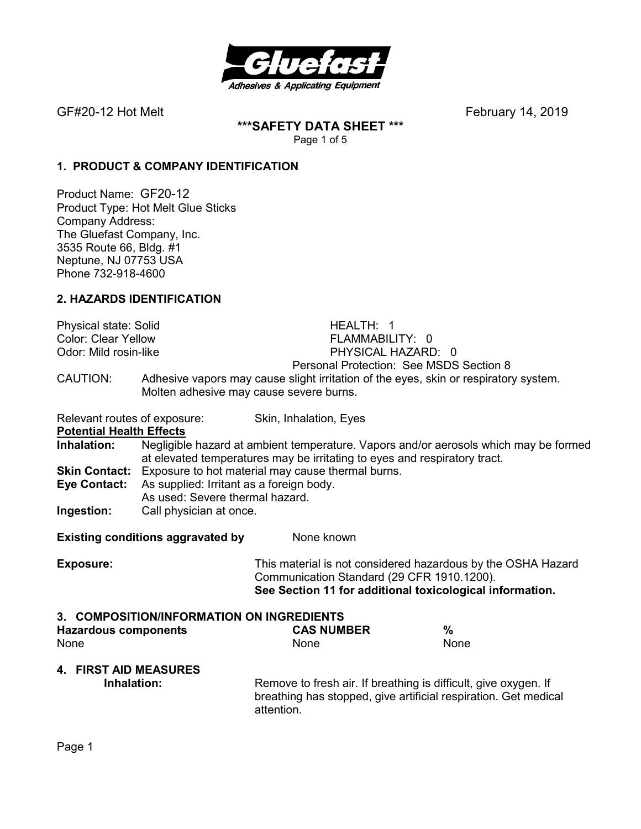

**\*\*\*SAFETY DATA SHEET \*\*\***  Page 1 of 5

### **1. PRODUCT & COMPANY IDENTIFICATION**

Product Name: GF20-12 Product Type: Hot Melt Glue Sticks Company Address: The Gluefast Company, Inc. 3535 Route 66, Bldg. #1 Neptune, NJ 07753 USA Phone 732-918-4600

## **2. HAZARDS IDENTIFICATION**

| <b>Physical state: Solid</b><br><b>Color: Clear Yellow</b><br>Odor: Mild rosin-like |                                                                                                                                  |                                                                                                                                                  | HEALTH: 1<br>FLAMMABILITY: 0<br>PHYSICAL HAZARD: 0<br>Personal Protection: See MSDS Section 8 |                                                                                                                          |
|-------------------------------------------------------------------------------------|----------------------------------------------------------------------------------------------------------------------------------|--------------------------------------------------------------------------------------------------------------------------------------------------|-----------------------------------------------------------------------------------------------|--------------------------------------------------------------------------------------------------------------------------|
| CAUTION:                                                                            | Molten adhesive may cause severe burns.                                                                                          |                                                                                                                                                  |                                                                                               | Adhesive vapors may cause slight irritation of the eyes, skin or respiratory system.                                     |
| Relevant routes of exposure:<br><b>Potential Health Effects</b>                     |                                                                                                                                  | Skin, Inhalation, Eyes                                                                                                                           |                                                                                               |                                                                                                                          |
| Inhalation:                                                                         | at elevated temperatures may be irritating to eyes and respiratory tract.                                                        |                                                                                                                                                  |                                                                                               | Negligible hazard at ambient temperature. Vapors and/or aerosols which may be formed                                     |
| <b>Skin Contact:</b><br><b>Eye Contact:</b>                                         | Exposure to hot material may cause thermal burns.<br>As supplied: Irritant as a foreign body.<br>As used: Severe thermal hazard. |                                                                                                                                                  |                                                                                               |                                                                                                                          |
| Ingestion:                                                                          | Call physician at once.                                                                                                          |                                                                                                                                                  |                                                                                               |                                                                                                                          |
|                                                                                     | <b>Existing conditions aggravated by</b>                                                                                         | None known                                                                                                                                       |                                                                                               |                                                                                                                          |
| <b>Exposure:</b>                                                                    |                                                                                                                                  |                                                                                                                                                  | Communication Standard (29 CFR 1910.1200).                                                    | This material is not considered hazardous by the OSHA Hazard<br>See Section 11 for additional toxicological information. |
| 3. COMPOSITION/INFORMATION ON INGREDIENTS<br><b>Hazardous components</b><br>None    |                                                                                                                                  | None                                                                                                                                             | <b>CAS NUMBER</b>                                                                             | $\frac{0}{0}$<br>None                                                                                                    |
| <b>4. FIRST AID MEASURES</b><br>Inhalation:                                         |                                                                                                                                  | Remove to fresh air. If breathing is difficult, give oxygen. If<br>breathing has stopped, give artificial respiration. Get medical<br>attention. |                                                                                               |                                                                                                                          |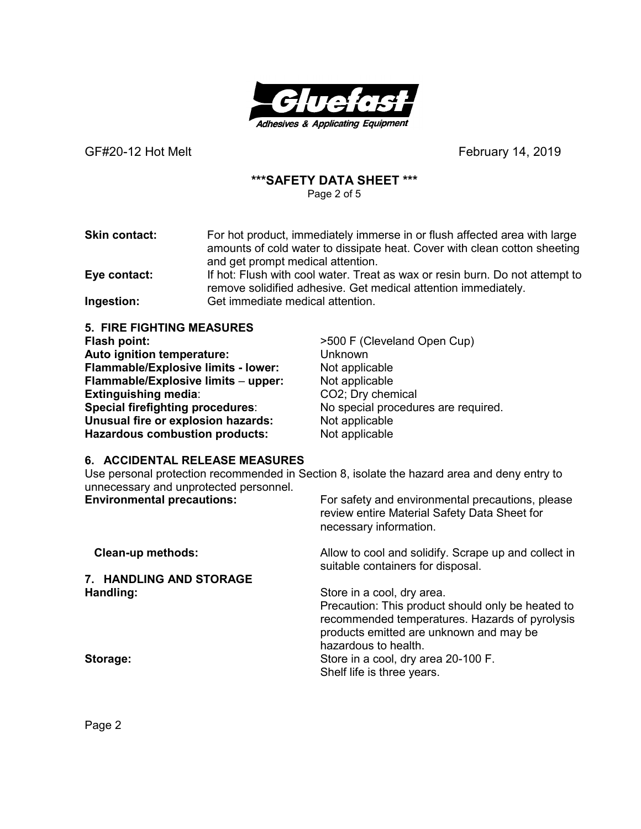

## **\*\*\*SAFETY DATA SHEET \*\*\***

Page 2 of 5

**Skin contact:** For hot product, immediately immerse in or flush affected area with large amounts of cold water to dissipate heat. Cover with clean cotton sheeting and get prompt medical attention. **Eye contact:** If hot: Flush with cool water. Treat as wax or resin burn. Do not attempt to

remove solidified adhesive. Get medical attention immediately. **Ingestion:** Get immediate medical attention.

**5. FIRE FIGHTING MEASURES Flash point:**  $>500$  F (Cleveland Open Cup) **Auto ignition temperature:** Unknown **Flammable/Explosive limits - lower:** Not applicable **Flammable/Explosive limits** – **upper:** Not applicable **Extinguishing media:** CO2; Dry chemical **Special firefighting procedures**: No special procedures are required. **Unusual fire or explosion hazards:** Not applicable **Hazardous combustion products:** Not applicable

### **6. ACCIDENTAL RELEASE MEASURES**

Use personal protection recommended in Section 8, isolate the hazard area and deny entry to unnecessary and unprotected personnel.

| <b>Environmental precautions:</b> | For safety and environmental precautions, please<br>review entire Material Safety Data Sheet for<br>necessary information.                                             |
|-----------------------------------|------------------------------------------------------------------------------------------------------------------------------------------------------------------------|
| <b>Clean-up methods:</b>          | Allow to cool and solidify. Scrape up and collect in<br>suitable containers for disposal.                                                                              |
| 7. HANDLING AND STORAGE           |                                                                                                                                                                        |
| Handling:                         | Store in a cool, dry area.                                                                                                                                             |
|                                   | Precaution: This product should only be heated to<br>recommended temperatures. Hazards of pyrolysis<br>products emitted are unknown and may be<br>hazardous to health. |
| Storage:                          | Store in a cool, dry area 20-100 F.                                                                                                                                    |
|                                   | Shelf life is three years.                                                                                                                                             |

Page 2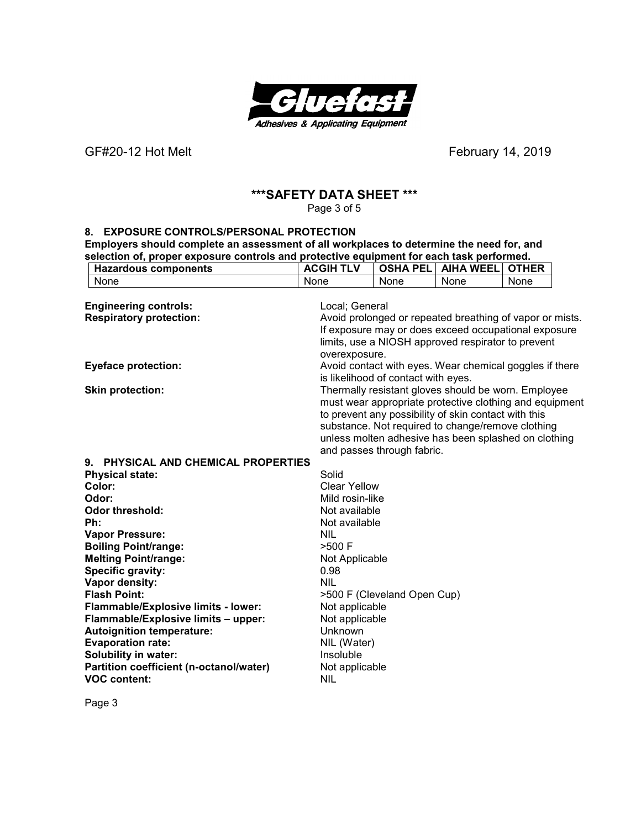

# **\*\*\*SAFETY DATA SHEET \*\*\***

Page 3 of 5

#### **8. EXPOSURE CONTROLS/PERSONAL PROTECTION**

**Employers should complete an assessment of all workplaces to determine the need for, and selection of, proper exposure controls and protective equipment for each task performed. Hazardous components ACGIH TLV OSHA PEL AIHA WEEL OTHER**

| None                                    | None                | None                                | None                                                     | None |  |
|-----------------------------------------|---------------------|-------------------------------------|----------------------------------------------------------|------|--|
|                                         |                     |                                     |                                                          |      |  |
| <b>Engineering controls:</b>            | Local; General      |                                     |                                                          |      |  |
| <b>Respiratory protection:</b>          |                     |                                     | Avoid prolonged or repeated breathing of vapor or mists. |      |  |
|                                         |                     |                                     | If exposure may or does exceed occupational exposure     |      |  |
|                                         |                     |                                     | limits, use a NIOSH approved respirator to prevent       |      |  |
|                                         | overexposure.       |                                     |                                                          |      |  |
| <b>Eyeface protection:</b>              |                     |                                     | Avoid contact with eyes. Wear chemical goggles if there  |      |  |
|                                         |                     | is likelihood of contact with eyes. |                                                          |      |  |
| <b>Skin protection:</b>                 |                     |                                     | Thermally resistant gloves should be worn. Employee      |      |  |
|                                         |                     |                                     | must wear appropriate protective clothing and equipment  |      |  |
|                                         |                     |                                     | to prevent any possibility of skin contact with this     |      |  |
|                                         |                     |                                     | substance. Not required to change/remove clothing        |      |  |
|                                         |                     |                                     | unless molten adhesive has been splashed on clothing     |      |  |
|                                         |                     | and passes through fabric.          |                                                          |      |  |
| 9. PHYSICAL AND CHEMICAL PROPERTIES     |                     |                                     |                                                          |      |  |
| <b>Physical state:</b>                  | Solid               |                                     |                                                          |      |  |
| Color:                                  | <b>Clear Yellow</b> |                                     |                                                          |      |  |
| Odor:                                   | Mild rosin-like     |                                     |                                                          |      |  |
| <b>Odor threshold:</b>                  | Not available       |                                     |                                                          |      |  |
| Ph:                                     | Not available       |                                     |                                                          |      |  |
| <b>Vapor Pressure:</b>                  | <b>NIL</b>          |                                     |                                                          |      |  |
| <b>Boiling Point/range:</b>             | $>500$ F            |                                     |                                                          |      |  |
| <b>Melting Point/range:</b>             | Not Applicable      |                                     |                                                          |      |  |
| <b>Specific gravity:</b>                | 0.98                |                                     |                                                          |      |  |
| Vapor density:                          | <b>NIL</b>          |                                     |                                                          |      |  |
| <b>Flash Point:</b>                     |                     | >500 F (Cleveland Open Cup)         |                                                          |      |  |
| Flammable/Explosive limits - lower:     | Not applicable      |                                     |                                                          |      |  |
| Flammable/Explosive limits - upper:     | Not applicable      |                                     |                                                          |      |  |
| <b>Autoignition temperature:</b>        | Unknown             |                                     |                                                          |      |  |
| <b>Evaporation rate:</b>                | NIL (Water)         |                                     |                                                          |      |  |
| <b>Solubility in water:</b>             | Insoluble           |                                     |                                                          |      |  |
| Partition coefficient (n-octanol/water) | Not applicable      |                                     |                                                          |      |  |
| <b>VOC content:</b>                     | <b>NIL</b>          |                                     |                                                          |      |  |
|                                         |                     |                                     |                                                          |      |  |

Page 3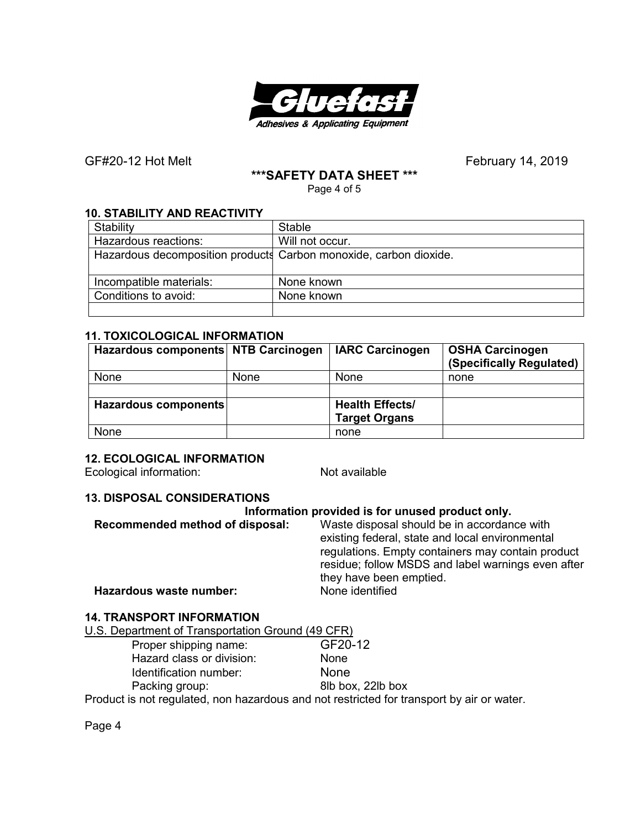

### **\*\*\*SAFETY DATA SHEET \*\*\***

Page 4 of 5

## **10. STABILITY AND REACTIVITY**

| Stability                                                         | <b>Stable</b>   |  |
|-------------------------------------------------------------------|-----------------|--|
| Hazardous reactions:                                              | Will not occur. |  |
| Hazardous decomposition products Carbon monoxide, carbon dioxide. |                 |  |
|                                                                   |                 |  |
| Incompatible materials:                                           | None known      |  |
| Conditions to avoid:                                              | None known      |  |
|                                                                   |                 |  |

### **11. TOXICOLOGICAL INFORMATION**

| Hazardous components NTB Carcinogen |             | <b>IARC Carcinogen</b> | <b>OSHA Carcinogen</b><br>(Specifically Regulated) |
|-------------------------------------|-------------|------------------------|----------------------------------------------------|
| None                                | <b>None</b> | None                   | none                                               |
|                                     |             |                        |                                                    |
| Hazardous components                |             | <b>Health Effects/</b> |                                                    |
|                                     |             | <b>Target Organs</b>   |                                                    |
| None                                |             | none                   |                                                    |

### **12. ECOLOGICAL INFORMATION**

Ecological information: Not available

### **13. DISPOSAL CONSIDERATIONS**

### **Information provided is for unused product only.**

| Recommended method of disposal: | Waste disposal should be in accordance with        |
|---------------------------------|----------------------------------------------------|
|                                 | existing federal, state and local environmental    |
|                                 | regulations. Empty containers may contain product  |
|                                 | residue; follow MSDS and label warnings even after |
|                                 | they have been emptied.                            |
| Hazardous waste number:         | None identified                                    |
|                                 |                                                    |

# **14. TRANSPORT INFORMATION**

Proper shipping name: GF20-12 Hazard class or division: None Identification number: None Packing group: 8lb box, 22lb box

Product is not regulated, non hazardous and not restricted for transport by air or water.

Page 4